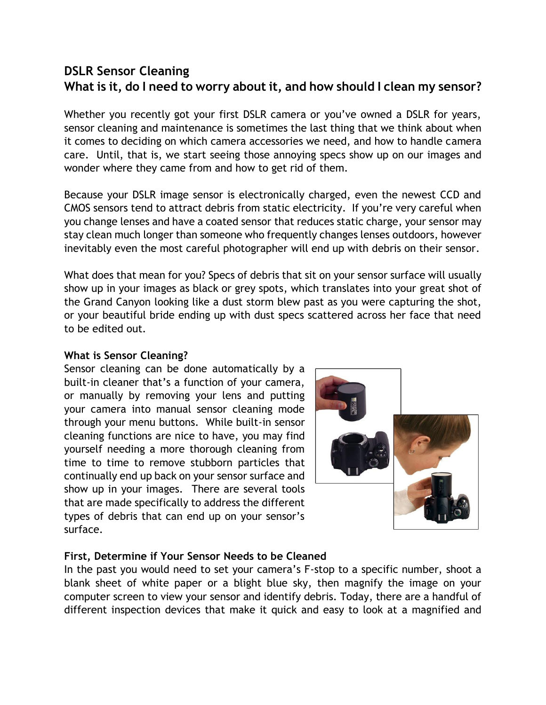# **DSLR Sensor Cleaning What is it, do I need to worry about it, and how should I clean my sensor?**

Whether you recently got your first DSLR camera or you've owned a DSLR for years, sensor cleaning and maintenance is sometimes the last thing that we think about when it comes to deciding on which camera accessories we need, and how to handle camera care. Until, that is, we start seeing those annoying specs show up on our images and wonder where they came from and how to get rid of them.

Because your DSLR image sensor is electronically charged, even the newest CCD and CMOS sensors tend to attract debris from static electricity. If you're very careful when you change lenses and have a coated sensor that reduces static charge, your sensor may stay clean much longer than someone who frequently changes lenses outdoors, however inevitably even the most careful photographer will end up with debris on their sensor.

What does that mean for you? Specs of debris that sit on your sensor surface will usually show up in your images as black or grey spots, which translates into your great shot of the Grand Canyon looking like a dust storm blew past as you were capturing the shot, or your beautiful bride ending up with dust specs scattered across her face that need to be edited out.

#### **What is Sensor Cleaning?**

Sensor cleaning can be done automatically by a built-in cleaner that's a function of your camera, or manually by removing your lens and putting your camera into manual sensor cleaning mode through your menu buttons. While built-in sensor cleaning functions are nice to have, you may find yourself needing a more thorough cleaning from time to time to remove stubborn particles that continually end up back on your sensor surface and show up in your images. There are several tools that are made specifically to address the different types of debris that can end up on your sensor's surface.



#### **First, Determine if Your Sensor Needs to be Cleaned**

In the past you would need to set your camera's F-stop to a specific number, shoot a blank sheet of white paper or a blight blue sky, then magnify the image on your computer screen to view your sensor and identify debris. Today, there are a handful of different inspection devices that make it quick and easy to look at a magnified and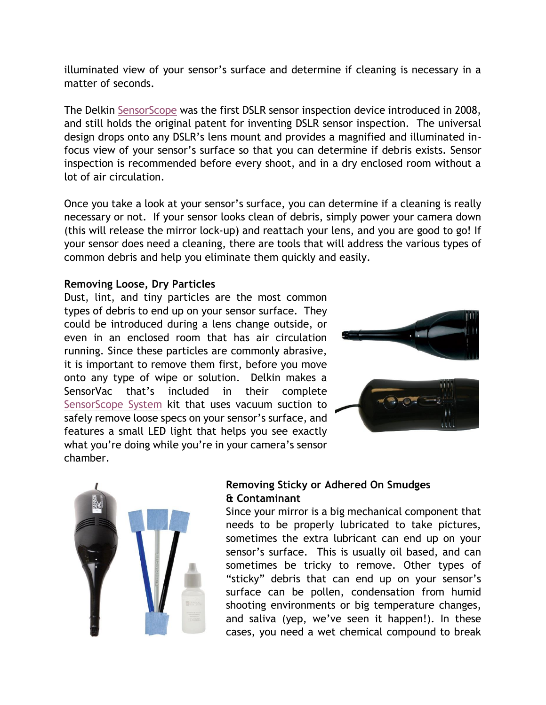illuminated view of your sensor's surface and determine if cleaning is necessary in a matter of seconds.

The Delkin [SensorScope](http://www.bhphotovideo.com/c/product/499279-REG/Delkin_Devices_DDSS_SINGLE2_Sensor_Scope_with_Bag.html) was the first DSLR sensor inspection device introduced in 2008, and still holds the original patent for inventing DSLR sensor inspection. The universal design drops onto any DSLR's lens mount and provides a magnified and illuminated infocus view of your sensor's surface so that you can determine if debris exists. Sensor inspection is recommended before every shoot, and in a dry enclosed room without a lot of air circulation.

Once you take a look at your sensor's surface, you can determine if a cleaning is really necessary or not. If your sensor looks clean of debris, simply power your camera down (this will release the mirror lock-up) and reattach your lens, and you are good to go! If your sensor does need a cleaning, there are tools that will address the various types of common debris and help you eliminate them quickly and easily.

### **Removing Loose, Dry Particles**

Dust, lint, and tiny particles are the most common types of debris to end up on your sensor surface. They could be introduced during a lens change outside, or even in an enclosed room that has air circulation running. Since these particles are commonly abrasive, it is important to remove them first, before you move onto any type of wipe or solution. Delkin makes a SensorVac that's included in their complete [SensorScope System](http://www.bhphotovideo.com/c/product/778946-REG/Delkin_Devices_DDSS_SCOPE3_SensorScope_3_Cleaning_Kit.html) kit that uses vacuum suction to safely remove loose specs on your sensor's surface, and features a small LED light that helps you see exactly what you're doing while you're in your camera's sensor chamber.





# **Removing Sticky or Adhered On Smudges & Contaminant**

Since your mirror is a big mechanical component that needs to be properly lubricated to take pictures, sometimes the extra lubricant can end up on your sensor's surface. This is usually oil based, and can sometimes be tricky to remove. Other types of "sticky" debris that can end up on your sensor's surface can be pollen, condensation from humid shooting environments or big temperature changes, and saliva (yep, we've seen it happen!). In these cases, you need a wet chemical compound to break